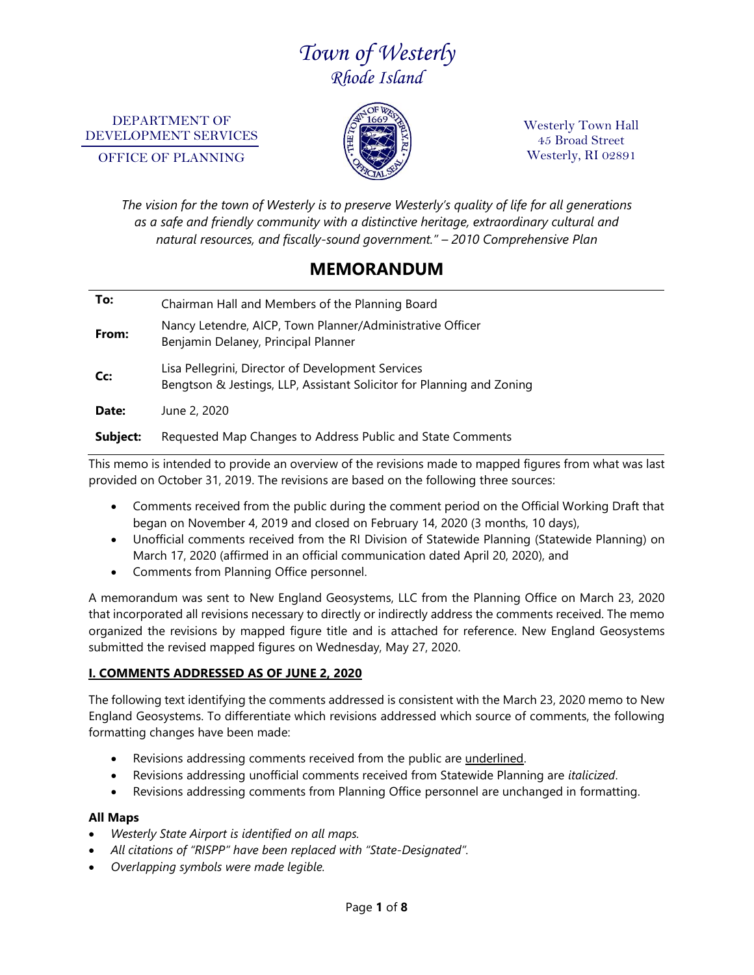# *Town of Westerly Rhode Island*

DEPARTMENT OF DEVELOPMENT SERVICES

OFFICE OF PLANNING



Westerly Town Hall 45 Broad Street Westerly, RI 02891

*The vision for the town of Westerly is to preserve Westerly's quality of life for all generations as a safe and friendly community with a distinctive heritage, extraordinary cultural and natural resources, and fiscally-sound government." – 2010 Comprehensive Plan*

## **MEMORANDUM**

| To:      | Chairman Hall and Members of the Planning Board                                                                            |
|----------|----------------------------------------------------------------------------------------------------------------------------|
| From:    | Nancy Letendre, AICP, Town Planner/Administrative Officer<br>Benjamin Delaney, Principal Planner                           |
| Cc:      | Lisa Pellegrini, Director of Development Services<br>Bengtson & Jestings, LLP, Assistant Solicitor for Planning and Zoning |
| Date:    | June 2, 2020                                                                                                               |
| Subject: | Requested Map Changes to Address Public and State Comments                                                                 |

This memo is intended to provide an overview of the revisions made to mapped figures from what was last provided on October 31, 2019. The revisions are based on the following three sources:

- Comments received from the public during the comment period on the Official Working Draft that began on November 4, 2019 and closed on February 14, 2020 (3 months, 10 days),
- Unofficial comments received from the RI Division of Statewide Planning (Statewide Planning) on March 17, 2020 (affirmed in an official communication dated April 20, 2020), and
- Comments from Planning Office personnel.

A memorandum was sent to New England Geosystems, LLC from the Planning Office on March 23, 2020 that incorporated all revisions necessary to directly or indirectly address the comments received. The memo organized the revisions by mapped figure title and is attached for reference. New England Geosystems submitted the revised mapped figures on Wednesday, May 27, 2020.

#### **I. COMMENTS ADDRESSED AS OF JUNE 2, 2020**

The following text identifying the comments addressed is consistent with the March 23, 2020 memo to New England Geosystems. To differentiate which revisions addressed which source of comments, the following formatting changes have been made:

- Revisions addressing comments received from the public are underlined.
- Revisions addressing unofficial comments received from Statewide Planning are *italicized*.
- Revisions addressing comments from Planning Office personnel are unchanged in formatting.

#### **All Maps**

- *Westerly State Airport is identified on all maps.*
- *All citations of "RISPP" have been replaced with "State-Designated".*
- *Overlapping symbols were made legible.*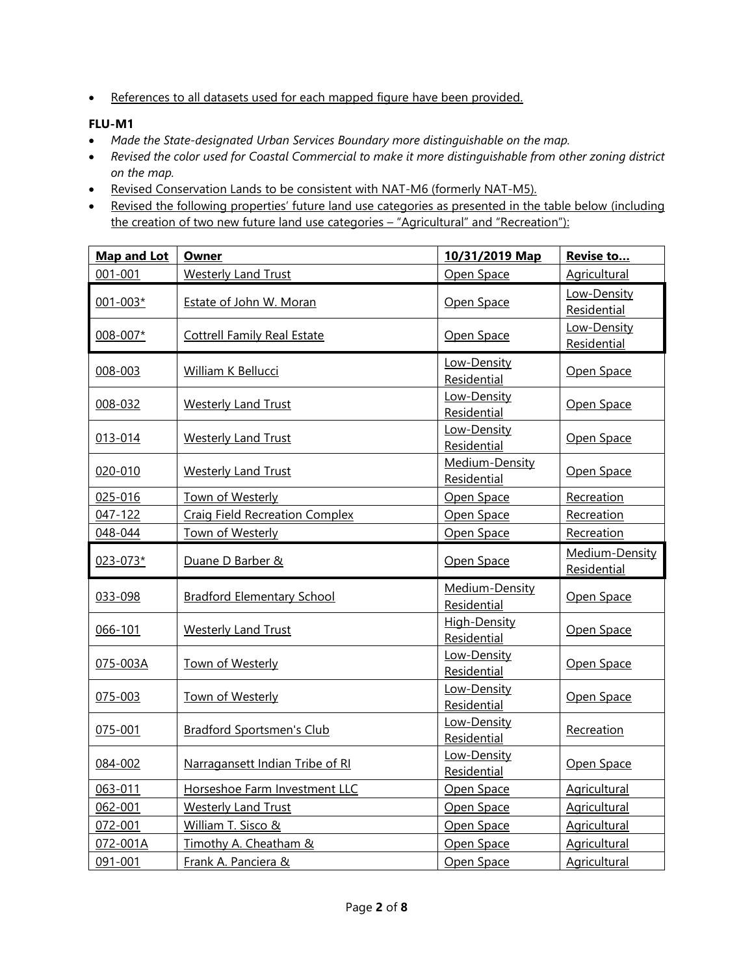• References to all datasets used for each mapped figure have been provided.

#### **FLU-M1**

- *Made the State-designated Urban Services Boundary more distinguishable on the map.*
- *Revised the color used for Coastal Commercial to make it more distinguishable from other zoning district on the map.*
- Revised Conservation Lands to be consistent with NAT-M6 (formerly NAT-M5).
- Revised the following properties' future land use categories as presented in the table below (including the creation of two new future land use categories – "Agricultural" and "Recreation"):

| Map and Lot  | Owner                                 | 10/31/2019 Map                     | Revise to                  |
|--------------|---------------------------------------|------------------------------------|----------------------------|
| $001 - 001$  | <b>Westerly Land Trust</b>            | Open Space                         | <b>Agricultural</b>        |
| $001 - 003*$ | Estate of John W. Moran               | Open Space                         | Low-Density<br>Residential |
| 008-007*     | <b>Cottrell Family Real Estate</b>    | Open Space                         | Low-Density<br>Residential |
| 008-003      | William K Bellucci                    | Low-Density<br>Residential         | Open Space                 |
| 008-032      | <b>Westerly Land Trust</b>            | Low-Density<br>Residential         | Open Space                 |
| $013 - 014$  | <b>Westerly Land Trust</b>            | Low-Density<br>Residential         | Open Space                 |
| 020-010      | <b>Westerly Land Trust</b>            | Medium-Density<br>Residential      | Open Space                 |
| 025-016      | Town of Westerly                      | Open Space                         | Recreation                 |
| 047-122      | <b>Craig Field Recreation Complex</b> | Open Space                         | Recreation                 |
| 048-044      | Town of Westerly                      | Open Space                         | Recreation                 |
| $023 - 073*$ | Duane D Barber &                      | Open Space                         | Medium-Density             |
|              |                                       |                                    | Residential                |
| 033-098      | <b>Bradford Elementary School</b>     | Medium-Density<br>Residential      | Open Space                 |
| 066-101      | <b>Westerly Land Trust</b>            | <b>High-Density</b><br>Residential | Open Space                 |
| 075-003A     | Town of Westerly                      | Low-Density<br>Residential         | Open Space                 |
| 075-003      | Town of Westerly                      | Low-Density<br>Residential         | Open Space                 |
| 075-001      | <b>Bradford Sportsmen's Club</b>      | Low-Density<br>Residential         | Recreation                 |
| 084-002      | Narragansett Indian Tribe of RI       | Low-Density<br>Residential         | Open Space                 |
| 063-011      | Horseshoe Farm Investment LLC         | Open Space                         | <b>Agricultural</b>        |
| 062-001      | <b>Westerly Land Trust</b>            | Open Space                         | <b>Agricultural</b>        |
| 072-001      | William T. Sisco &                    | Open Space                         | <b>Agricultural</b>        |
| 072-001A     | Timothy A. Cheatham &                 | Open Space                         | Agricultural               |
| 091-001      | Frank A. Panciera &                   | Open Space                         | Agricultural               |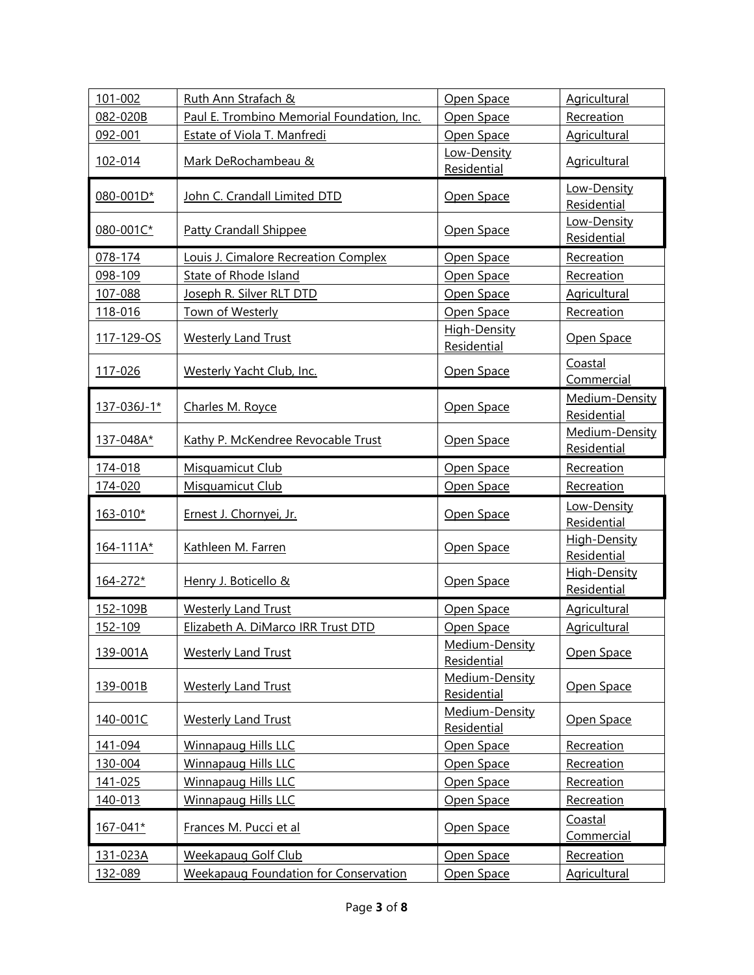| 101-002      | Ruth Ann Strafach &                        | Open Space                    | <b>Agricultural</b>                |
|--------------|--------------------------------------------|-------------------------------|------------------------------------|
| 082-020B     | Paul E. Trombino Memorial Foundation, Inc. | Open Space                    | Recreation                         |
| 092-001      | Estate of Viola T. Manfredi                | Open Space                    | <b>Agricultural</b>                |
| 102-014      | Mark DeRochambeau &                        | Low-Density                   |                                    |
|              |                                            | Residential                   | <b>Agricultural</b>                |
| 080-001D*    | John C. Crandall Limited DTD               | Open Space                    | Low-Density                        |
|              |                                            |                               | Residential                        |
| 080-001C*    | <b>Patty Crandall Shippee</b>              | Open Space                    | Low-Density                        |
|              |                                            |                               | Residential                        |
| 078-174      | Louis J. Cimalore Recreation Complex       | Open Space                    | Recreation                         |
| 098-109      | <b>State of Rhode Island</b>               | Open Space                    | Recreation                         |
| 107-088      | Joseph R. Silver RLT DTD                   | Open Space                    | <b>Agricultural</b>                |
| 118-016      | Town of Westerly                           | Open Space                    | Recreation                         |
| 117-129-OS   | <b>Westerly Land Trust</b>                 | High-Density<br>Residential   | Open Space                         |
| 117-026      | Westerly Yacht Club, Inc.                  | Open Space                    | Coastal<br>Commercial              |
| 137-036J-1*  | Charles M. Royce                           | Open Space                    | Medium-Density<br>Residential      |
| 137-048A*    | Kathy P. McKendree Revocable Trust         | Open Space                    | Medium-Density<br>Residential      |
| 174-018      | Misquamicut Club                           | Open Space                    | Recreation                         |
| 174-020      | Misquamicut Club                           | Open Space                    | Recreation                         |
| $163 - 010*$ | Ernest J. Chornyei, Jr.                    | Open Space                    | Low-Density<br>Residential         |
| 164-111A*    | Kathleen M. Farren                         | Open Space                    | High-Density<br>Residential        |
| 164-272*     | Henry J. Boticello &                       | Open Space                    | <b>High-Density</b><br>Residential |
| 152-109B     | <b>Westerly Land Trust</b>                 | Open Space                    | Agricultural                       |
| 152-109      | Elizabeth A. DiMarco IRR Trust DTD         | Open Space                    | <b>Agricultural</b>                |
| 139-001A     | <b>Westerly Land Trust</b>                 | Medium-Density<br>Residential | Open Space                         |
| 139-001B     | <b>Westerly Land Trust</b>                 | Medium-Density<br>Residential | Open Space                         |
| 140-001C     | <b>Westerly Land Trust</b>                 | Medium-Density<br>Residential | Open Space                         |
| 141-094      | <b>Winnapaug Hills LLC</b>                 | Open Space                    | Recreation                         |
| 130-004      | Winnapaug Hills LLC                        | Open Space                    | Recreation                         |
| 141-025      | <b>Winnapaug Hills LLC</b>                 | Open Space                    | Recreation                         |
| 140-013      | <b>Winnapaug Hills LLC</b>                 | Open Space                    | Recreation                         |
|              |                                            |                               | Coastal                            |
| $167 - 041*$ | Frances M. Pucci et al                     | Open Space                    | Commercial                         |
| 131-023A     | Weekapaug Golf Club                        | Open Space                    | Recreation                         |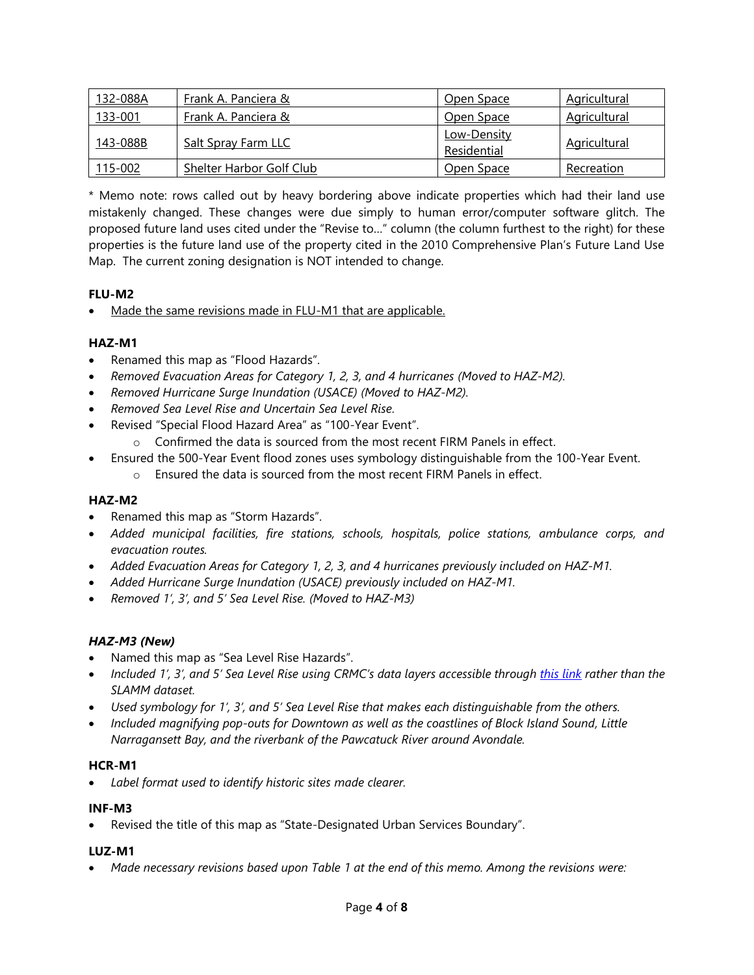| 132-088A | Frank A. Panciera &        | <u>Open Space</u>                 | <b>Agricultural</b> |
|----------|----------------------------|-----------------------------------|---------------------|
| 133-001  | Frank A. Panciera &        | Open Space                        | <b>Agricultural</b> |
| 143-088B | <b>Salt Spray Farm LLC</b> | <b>Low-Density</b><br>Residential | <u>Agricultural</u> |
| 115-002  | Shelter Harbor Golf Club   | Open Space                        | Recreation          |

\* Memo note: rows called out by heavy bordering above indicate properties which had their land use mistakenly changed. These changes were due simply to human error/computer software glitch. The proposed future land uses cited under the "Revise to…" column (the column furthest to the right) for these properties is the future land use of the property cited in the 2010 Comprehensive Plan's Future Land Use Map. The current zoning designation is NOT intended to change.

#### **FLU-M2**

Made the same revisions made in FLU-M1 that are applicable.

#### **HAZ-M1**

- Renamed this map as "Flood Hazards".
- *Removed Evacuation Areas for Category 1, 2, 3, and 4 hurricanes (Moved to HAZ-M2).*
- *Removed Hurricane Surge Inundation (USACE) (Moved to HAZ-M2).*
- *Removed Sea Level Rise and Uncertain Sea Level Rise.*
- Revised "Special Flood Hazard Area" as "100-Year Event".
	- o Confirmed the data is sourced from the most recent FIRM Panels in effect.
- Ensured the 500-Year Event flood zones uses symbology distinguishable from the 100-Year Event.
	- o Ensured the data is sourced from the most recent FIRM Panels in effect.

#### **HAZ-M2**

- Renamed this map as "Storm Hazards".
- *Added municipal facilities, fire stations, schools, hospitals, police stations, ambulance corps, and evacuation routes.*
- *Added Evacuation Areas for Category 1, 2, 3, and 4 hurricanes previously included on HAZ-M1.*
- *Added Hurricane Surge Inundation (USACE) previously included on HAZ-M1.*
- *Removed 1', 3', and 5' Sea Level Rise. (Moved to HAZ-M3)*

#### *HAZ-M3 (New)*

- Named this map as "Sea Level Rise Hazards".
- *Included 1', 3', and 5' Sea Level Rise using CRMC's data layers accessible through [this link](https://edc.maps.arcgis.com/home/item.html?id=f176a2def4714f2b986b8c0aece28cd2) rather than the SLAMM dataset.*
- Used *symbology for 1', 3', and 5' Sea Level Rise that makes each distinguishable from the others.*
- *Included magnifying pop-outs for Downtown as well as the coastlines of Block Island Sound, Little Narragansett Bay, and the riverbank of the Pawcatuck River around Avondale.*

#### **HCR-M1**

• *Label format used to identify historic sites made clearer.*

#### **INF-M3**

• Revised the title of this map as "State-Designated Urban Services Boundary".

#### **LUZ-M1**

• *Made necessary revisions based upon Table 1 at the end of this memo. Among the revisions were:*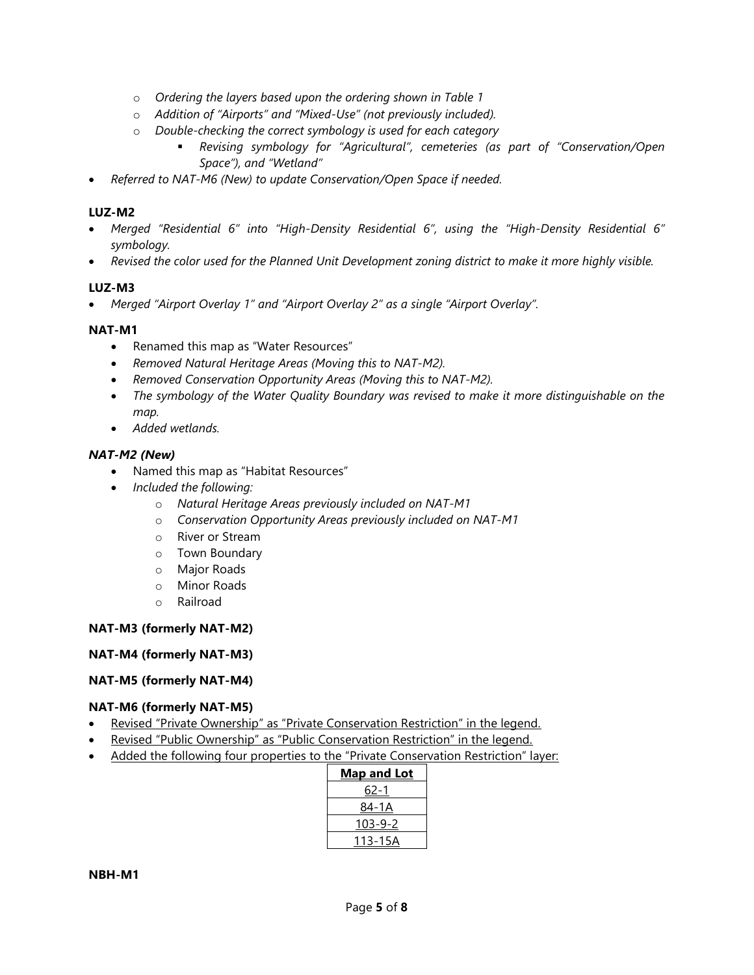- o *Ordering the layers based upon the ordering shown in Table 1*
- o *Addition of "Airports" and "Mixed-Use" (not previously included).*
- o *Double-checking the correct symbology is used for each category*
	- *Revising symbology for "Agricultural", cemeteries (as part of "Conservation/Open Space"), and "Wetland"*
- *Referred to NAT-M6 (New) to update Conservation/Open Space if needed.*

#### **LUZ-M2**

- *Merged "Residential 6" into "High-Density Residential 6", using the "High-Density Residential 6" symbology.*
- *Revised the color used for the Planned Unit Development zoning district to make it more highly visible.*

#### **LUZ-M3**

• *Merged "Airport Overlay 1" and "Airport Overlay 2" as a single "Airport Overlay".*

#### **NAT-M1**

- Renamed this map as "Water Resources"
- *Removed Natural Heritage Areas (Moving this to NAT-M2).*
- *Removed Conservation Opportunity Areas (Moving this to NAT-M2).*
- *The symbology of the Water Quality Boundary was revised to make it more distinguishable on the map.*
- *Added wetlands.*

#### *NAT-M2 (New)*

- Named this map as "Habitat Resources"
- *Included the following:*
	- o *Natural Heritage Areas previously included on NAT-M1*
	- o *Conservation Opportunity Areas previously included on NAT-M1*
	- o River or Stream
	- o Town Boundary
	- o Major Roads
	- o Minor Roads
	- o Railroad

#### **NAT-M3 (formerly NAT-M2)**

#### **NAT-M4 (formerly NAT-M3)**

#### **NAT-M5 (formerly NAT-M4)**

#### **NAT-M6 (formerly NAT-M5)**

- Revised "Private Ownership" as "Private Conservation Restriction" in the legend.
- Revised "Public Ownership" as "Public Conservation Restriction" in the legend.
- Added the following four properties to the "Private Conservation Restriction" layer:

| <b>Map and Lot</b> |
|--------------------|
| 62-1               |
| 84-1A              |
| 103-9-2            |
| 113-15A            |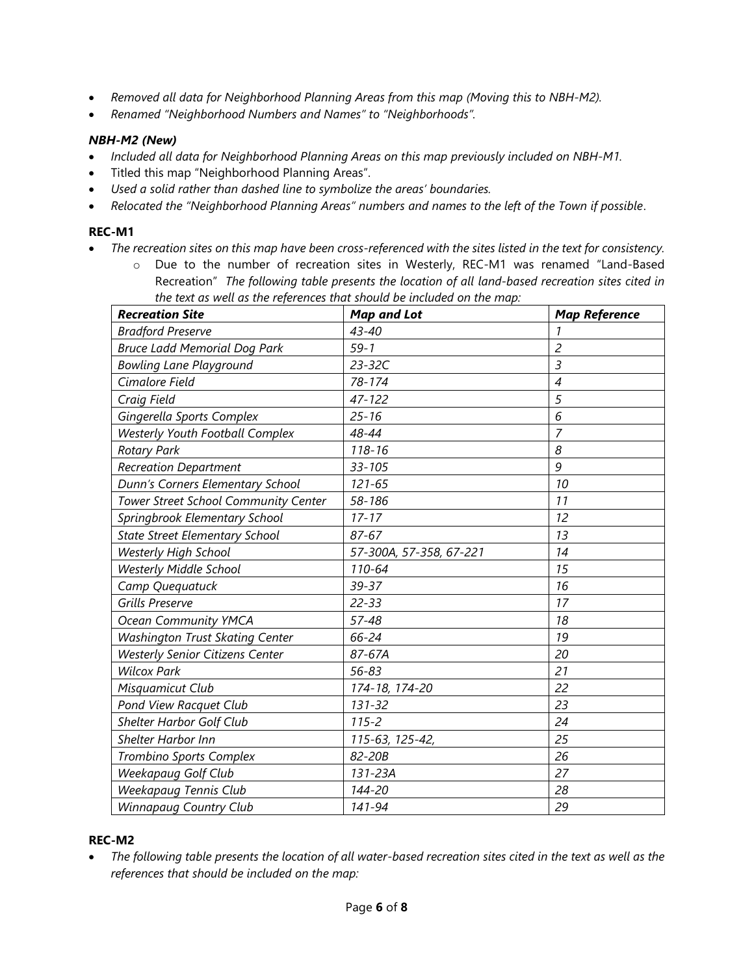- *Removed all data for Neighborhood Planning Areas from this map (Moving this to NBH-M2).*
- *Renamed "Neighborhood Numbers and Names" to "Neighborhoods".*

#### *NBH-M2 (New)*

- *Included all data for Neighborhood Planning Areas on this map previously included on NBH-M1.*
- Titled this map "Neighborhood Planning Areas".
- *Used a solid rather than dashed line to symbolize the areas' boundaries.*
- *Relocated the "Neighborhood Planning Areas" numbers and names to the left of the Town if possible*.

#### **REC-M1**

- The recreation sites on this map have been cross-referenced with the sites listed in the text for consistency.
	- o Due to the number of recreation sites in Westerly, REC-M1 was renamed "Land-Based Recreation" *The following table presents the location of all land-based recreation sites cited in the text as well as the references that should be included on the map:*

| <b>Recreation Site</b>                 | <b>Map and Lot</b>      | <b>Map Reference</b> |
|----------------------------------------|-------------------------|----------------------|
| <b>Bradford Preserve</b>               | 43-40                   |                      |
| <b>Bruce Ladd Memorial Dog Park</b>    | $59 - 1$                | $\overline{c}$       |
| <b>Bowling Lane Playground</b>         | 23-32C                  | $\overline{3}$       |
| Cimalore Field                         | 78-174                  | $\overline{4}$       |
| Craig Field                            | 47-122                  | 5                    |
| Gingerella Sports Complex              | $25 - 16$               | 6                    |
| <b>Westerly Youth Football Complex</b> | 48-44                   | $\overline{7}$       |
| <b>Rotary Park</b>                     | 118-16                  | 8                    |
| <b>Recreation Department</b>           | $33 - 105$              | 9                    |
| Dunn's Corners Elementary School       | $121 - 65$              | 10                   |
| Tower Street School Community Center   | 58-186                  | 11                   |
| Springbrook Elementary School          | $17 - 17$               | 12                   |
| <b>State Street Elementary School</b>  | 87-67                   | 13                   |
| <b>Westerly High School</b>            | 57-300A, 57-358, 67-221 | 14                   |
| <b>Westerly Middle School</b>          | 110-64                  | 15                   |
| Camp Quequatuck                        | 39-37                   | 16                   |
| Grills Preserve                        | $22 - 33$               | 17                   |
| <b>Ocean Community YMCA</b>            | 57-48                   | 18                   |
| <b>Washington Trust Skating Center</b> | 66-24                   | 19                   |
| <b>Westerly Senior Citizens Center</b> | 87-67A                  | 20                   |
| <b>Wilcox Park</b>                     | 56-83                   | 21                   |
| Misquamicut Club                       | 174-18, 174-20          | 22                   |
| Pond View Racquet Club                 | 131-32                  | 23                   |
| <b>Shelter Harbor Golf Club</b>        | $115 - 2$               | 24                   |
| <b>Shelter Harbor Inn</b>              | 115-63, 125-42,         | 25                   |
| Trombino Sports Complex                | 82-20B                  | 26                   |
| Weekapaug Golf Club                    | 131-23A                 | 27                   |
| Weekapaug Tennis Club                  | 144-20                  | 28                   |
| <b>Winnapaug Country Club</b>          | 141-94                  | 29                   |

#### **REC-M2**

• *The following table presents the location of all water-based recreation sites cited in the text as well as the references that should be included on the map:*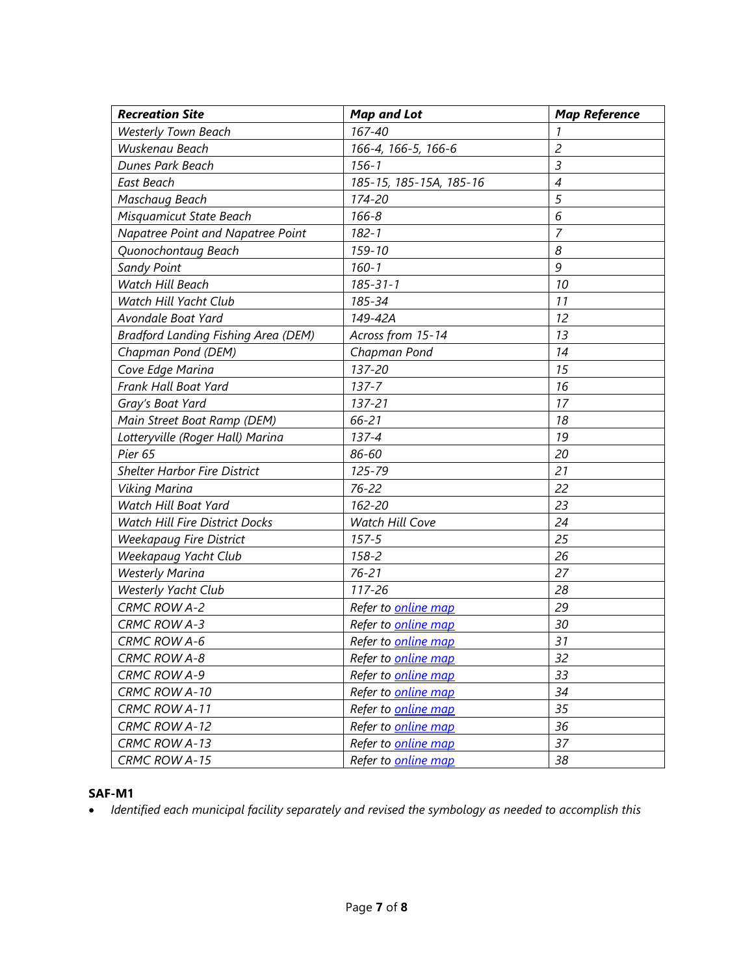| <b>Recreation Site</b>                     | <b>Map and Lot</b>         | <b>Map Reference</b> |
|--------------------------------------------|----------------------------|----------------------|
| <b>Westerly Town Beach</b>                 | 167-40                     | 1                    |
| Wuskenau Beach                             | 166-4, 166-5, 166-6        | $\overline{c}$       |
| Dunes Park Beach                           | $156 - 1$                  | 3                    |
| <b>East Beach</b>                          | 185-15, 185-15A, 185-16    | 4                    |
| Maschaug Beach                             | 174-20                     | 5                    |
| Misquamicut State Beach                    | $166 - 8$                  | 6                    |
| Napatree Point and Napatree Point          | $182 - 1$                  | 7                    |
| Quonochontaug Beach                        | 159-10                     | 8                    |
| <b>Sandy Point</b>                         | $160 - 1$                  | 9                    |
| Watch Hill Beach                           | $185 - 31 - 1$             | 10                   |
| Watch Hill Yacht Club                      | 185-34                     | 11                   |
| Avondale Boat Yard                         | 149-42A                    | 12                   |
| <b>Bradford Landing Fishing Area (DEM)</b> | Across from 15-14          | 13                   |
| Chapman Pond (DEM)                         | Chapman Pond               | 14                   |
| Cove Edge Marina                           | 137-20                     | 15                   |
| Frank Hall Boat Yard                       | $137 - 7$                  | 16                   |
| Gray's Boat Yard                           | 137-21                     | 17                   |
| Main Street Boat Ramp (DEM)                | 66-21                      | 18                   |
| Lotteryville (Roger Hall) Marina           | $137 - 4$                  | 19                   |
| Pier 65                                    | 86-60                      | 20                   |
| <b>Shelter Harbor Fire District</b>        | 125-79                     | 21                   |
| <b>Viking Marina</b>                       | $76 - 22$                  | 22                   |
| Watch Hill Boat Yard                       | 162-20                     | 23                   |
| <b>Watch Hill Fire District Docks</b>      | <b>Watch Hill Cove</b>     | 24                   |
| <b>Weekapaug Fire District</b>             | $157 - 5$                  | 25                   |
| Weekapaug Yacht Club                       | $158 - 2$                  | 26                   |
| <b>Westerly Marina</b>                     | $76 - 21$                  | 27                   |
| <b>Westerly Yacht Club</b>                 | 117-26                     | 28                   |
| <b>CRMC ROW A-2</b>                        | Refer to <b>online</b> map | 29                   |
| <b>CRMC ROW A-3</b>                        | Refer to <b>online</b> map | 30                   |
| <b>CRMC ROW A-6</b>                        | Refer to <b>online</b> map | 31                   |
| <b>CRMC ROW A-8</b>                        | Refer to <b>online</b> map | 32                   |
| CRMC ROW A-9                               | Refer to <b>online</b> map | 33                   |
| CRMC ROW A-10                              | Refer to <b>online</b> map | 34                   |
| CRMC ROW A-11                              | Refer to <b>online</b> map | 35                   |
| CRMC ROW A-12                              | Refer to <i>online map</i> | 36                   |
| CRMC ROW A-13                              | Refer to <i>online map</i> | 37                   |
| CRMC ROW A-15                              | Refer to <i>online</i> map | 38                   |

### **SAF-M1**

• *Identified each municipal facility separately and revised the symbology as needed to accomplish this*